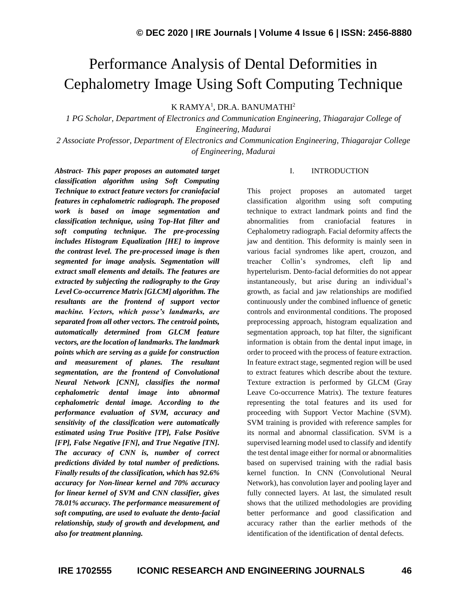# Performance Analysis of Dental Deformities in Cephalometry Image Using Soft Computing Technique

K RAMYA<sup>1</sup>, DR.A. BANUMATHI<sup>2</sup>

*1 PG Scholar, Department of Electronics and Communication Engineering, Thiagarajar College of Engineering, Madurai*

*2 Associate Professor, Department of Electronics and Communication Engineering, Thiagarajar College of Engineering, Madurai*

*Abstract- This paper proposes an automated target classification algorithm using Soft Computing Technique to extract feature vectors for craniofacial features in cephalometric radiograph. The proposed work is based on image segmentation and classification technique, using Top-Hat filter and soft computing technique. The pre-processing includes Histogram Equalization [HE] to improve the contrast level. The pre-processed image is then segmented for image analysis. Segmentation will extract small elements and details. The features are extracted by subjecting the radiography to the Gray Level Co-occurrence Matrix [GLCM] algorithm. The resultants are the frontend of support vector machine. Vectors, which posse's landmarks, are separated from all other vectors. The centroid points, automatically determined from GLCM feature vectors, are the location of landmarks. The landmark points which are serving as a guide for construction and measurement of planes. The resultant segmentation, are the frontend of Convolutional Neural Network [CNN], classifies the normal cephalometric dental image into abnormal cephalometric dental image. According to the performance evaluation of SVM, accuracy and sensitivity of the classification were automatically estimated using True Positive [TP], False Positive [FP], False Negative [FN], and True Negative [TN]. The accuracy of CNN is, number of correct predictions divided by total number of predictions. Finally results of the classification, which has 92.6% accuracy for Non-linear kernel and 70% accuracy for linear kernel of SVM and CNN classifier, gives 78.01% accuracy. The performance measurement of soft computing, are used to evaluate the dento-facial relationship, study of growth and development, and also for treatment planning.*

## I. INTRODUCTION

This project proposes an automated target classification algorithm using soft computing technique to extract landmark points and find the abnormalities from craniofacial features in Cephalometry radiograph. Facial deformity affects the jaw and dentition. This deformity is mainly seen in various facial syndromes like apert, crouzon, and treacher Collin's syndromes, cleft lip and hypertelurism. Dento-facial deformities do not appear instantaneously, but arise during an individual's growth, as facial and jaw relationships are modified continuously under the combined influence of genetic controls and environmental conditions. The proposed preprocessing approach, histogram equalization and segmentation approach, top hat filter, the significant information is obtain from the dental input image, in order to proceed with the process of feature extraction. In feature extract stage, segmented region will be used to extract features which describe about the texture. Texture extraction is performed by GLCM (Gray Leave Co-occurrence Matrix). The texture features representing the total features and its used for proceeding with Support Vector Machine (SVM). SVM training is provided with reference samples for its normal and abnormal classification. SVM is a supervised learning model used to classify and identify the test dental image either for normal or abnormalities based on supervised training with the radial basis kernel function. In CNN (Convolutional Neural Network), has convolution layer and pooling layer and fully connected layers. At last, the simulated result shows that the utilized methodologies are providing better performance and good classification and accuracy rather than the earlier methods of the identification of the identification of dental defects.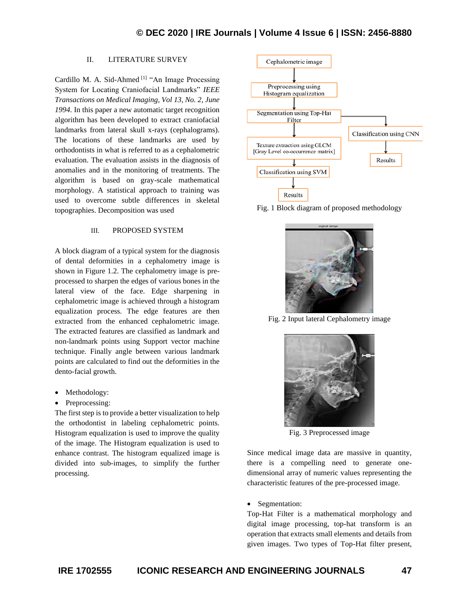## II. LITERATURE SURVEY

Cardillo M. A. Sid-Ahmed [1] "An Image Processing System for Locating Craniofacial Landmarks" *IEEE Transactions on Medical Imaging, Vol 13, No. 2, June 1994.* In this paper a new automatic target recognition algorithm has been developed to extract craniofacial landmarks from lateral skull x-rays (cephalograms). The locations of these landmarks are used by orthodontists in what is referred to as a cephalometric evaluation. The evaluation assists in the diagnosis of anomalies and in the monitoring of treatments. The algorithm is based on gray-scale mathematical morphology. A statistical approach to training was used to overcome subtle differences in skeletal topographies. Decomposition was used

## III. PROPOSED SYSTEM

A block diagram of a typical system for the diagnosis of dental deformities in a cephalometry image is shown in Figure 1.2. The cephalometry image is preprocessed to sharpen the edges of various bones in the lateral view of the face. Edge sharpening in cephalometric image is achieved through a histogram equalization process. The edge features are then extracted from the enhanced cephalometric image. The extracted features are classified as landmark and non-landmark points using Support vector machine technique. Finally angle between various landmark points are calculated to find out the deformities in the dento-facial growth.

- Methodology:
- Preprocessing:

The first step is to provide a better visualization to help the orthodontist in labeling cephalometric points. Histogram equalization is used to improve the quality of the image. The Histogram equalization is used to enhance contrast. The histogram equalized image is divided into sub-images, to simplify the further processing.



Fig. 1 Block diagram of proposed methodology



Fig. 2 Input lateral Cephalometry image



Fig. 3 Preprocessed image

Since medical image data are massive in quantity, there is a compelling need to generate onedimensional array of numeric values representing the characteristic features of the pre-processed image.

### • Segmentation:

Top-Hat Filter is a mathematical morphology and digital image processing, top-hat transform is an operation that extracts small elements and details from given images. Two types of Top-Hat filter present,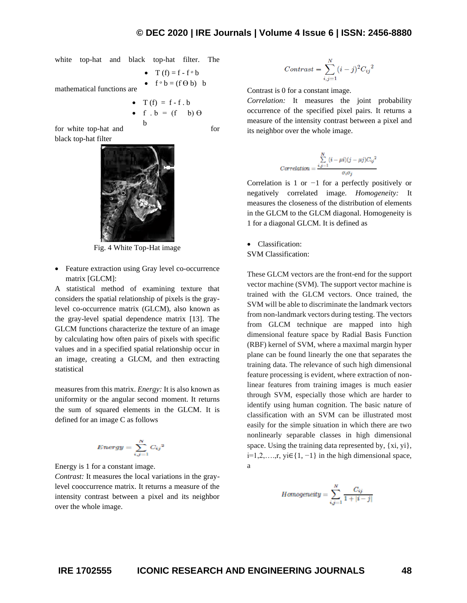white top-hat and black top-hat filter. The

mathematical functions are  $T(f) = f - f \circ b$  $f \circ b = (f \theta b) b$ 

b

\n- $$
T(f) = f - f \cdot b
$$
\n- $f \cdot b = (f - b) \theta$
\n

for white top-hat and for black top-hat filter





Fig. 4 White Top-Hat image

• Feature extraction using Gray level co-occurrence matrix [GLCM]:

A statistical method of examining texture that considers the spatial relationship of pixels is the graylevel co-occurrence matrix (GLCM), also known as the gray-level spatial dependence matrix [13]. The GLCM functions characterize the texture of an image by calculating how often pairs of pixels with specific values and in a specified spatial relationship occur in an image, creating a GLCM, and then extracting statistical

measures from this matrix. *Energy:* It is also known as uniformity or the angular second moment. It returns the sum of squared elements in the GLCM. It is defined for an image C as follows

$$
Energy = \sum_{i,j=1}^{N} C_{ij}^{2}
$$

Energy is 1 for a constant image.

*Contrast:* It measures the local variations in the graylevel cooccurrence matrix. It returns a measure of the intensity contrast between a pixel and its neighbor over the whole image.

$$
Contrast = \sum_{i,j=1}^{N} (i-j)^2 {C_{ij}}^2
$$

Contrast is 0 for a constant image.

*Correlation:* It measures the joint probability occurrence of the specified pixel pairs. It returns a measure of the intensity contrast between a pixel and its neighbor over the whole image.

$$
Correlation = \frac{\sum\limits_{i,j=1}^{N}(i-\mu i)(j-\mu j)C_{ij}{}^{2}}{\sigma_{i}\sigma_{j}}
$$

Correlation is 1 or *−*1 for a perfectly positively or negatively correlated image. *Homogeneity:* It measures the closeness of the distribution of elements in the GLCM to the GLCM diagonal. Homogeneity is 1 for a diagonal GLCM. It is defined as

• Classification:

SVM Classification:

These GLCM vectors are the front-end for the support vector machine (SVM). The support vector machine is trained with the GLCM vectors. Once trained, the SVM will be able to discriminate the landmark vectors from non-landmark vectors during testing. The vectors from GLCM technique are mapped into high dimensional feature space by Radial Basis Function (RBF) kernel of SVM, where a maximal margin hyper plane can be found linearly the one that separates the training data. The relevance of such high dimensional feature processing is evident, where extraction of nonlinear features from training images is much easier through SVM, especially those which are harder to identify using human cognition. The basic nature of classification with an SVM can be illustrated most easily for the simple situation in which there are two nonlinearly separable classes in high dimensional space. Using the training data represented by, {xi, yi},  $i=1,2,...,r$ , yi∈{1, -1} in the high dimensional space, a

$$
Homogeneity = \sum_{i,j=1}^{N} \frac{C_{ij}}{1+|i-j|}
$$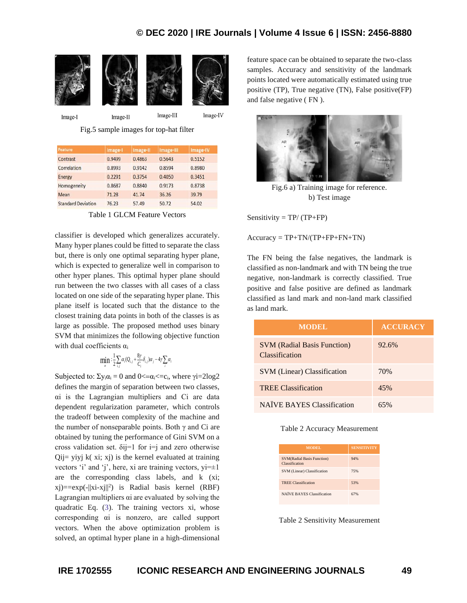## **© DEC 2020 | IRE Journals | Volume 4 Issue 6 | ISSN: 2456-8880**



Fig.5 sample images for top-hat filter

| Feature                   | Image-I | Image-II | Image-III | Image-IV |
|---------------------------|---------|----------|-----------|----------|
| Contrast                  | 0.9499  | 0.4863   | 0.5643    | 0.5152   |
| Correlation               | 0.8993  | 0.9142   | 0.8594    | 0.8980   |
| Energy                    | 0.2291  | 0.3754   | 0.4050    | 0.3451   |
| Homogeneity               | 0.8687  | 0.8840   | 0.9173    | 0.8738   |
| Mean                      | 71.28   | 41.74    | 36.26     | 39.79    |
| <b>Standard Deviation</b> | 76.23   | 57.49    | 50.72     | 54.02    |

Table 1 GLCM Feature Vectors

classifier is developed which generalizes accurately. Many hyper planes could be fitted to separate the class but, there is only one optimal separating hyper plane, which is expected to generalize well in comparison to other hyper planes. This optimal hyper plane should run between the two classes with all cases of a class located on one side of the separating hyper plane. This plane itself is located such that the distance to the closest training data points in both of the classes is as large as possible. The proposed method uses binary SVM that minimizes the following objective function with dual coefficients α<sup>i</sup>

$$
\min_{\alpha} \left( \frac{1}{2} \sum_{i,j} \alpha_i (Q_{i,j} + \frac{8 \gamma}{C_i} \delta_{i,j}) \alpha_j - 4 \gamma \sum_i \alpha_i \right)
$$

Subjected to:  $\Sigma y_i \alpha_i = 0$  and  $0 \leq \alpha_i \leq c_i$ , where  $\gamma i = 2 \log 2$ defines the margin of separation between two classes, αi is the Lagrangian multipliers and Ci are data dependent regularization parameter, which controls the tradeoff between complexity of the machine and the number of nonseparable points. Both  $\gamma$  and Ci are obtained by tuning the performance of Gini SVM on a cross validation set.  $\delta$ ij=1 for i=j and zero otherwise  $Qi = vivj$  k(xi; xj) is the kernel evaluated at training vectors 'i' and 'j', here, xi are training vectors,  $yi=\pm 1$ are the corresponding class labels, and k (xi;  $(xj) = exp(-||xi-xj||^2)$  is Radial basis kernel (RBF) Lagrangian multipliers αi are evaluated by solving the quadratic Eq. (3). The training vectors xi, whose corresponding αi is nonzero, are called support vectors. When the above optimization problem is solved, an optimal hyper plane in a high-dimensional

feature space can be obtained to separate the two-class samples. Accuracy and sensitivity of the landmark points located were automatically estimated using true positive (TP), True negative (TN), False positive(FP) and false negative ( FN ).



Fig.6 a) Training image for reference. b) Test image

Sensitivity  $= TP/(TP+FP)$ 

 $Accuracy = TP + TN/(TP + FP + FN + TN)$ 

The FN being the false negatives, the landmark is classified as non-landmark and with TN being the true negative, non-landmark is correctly classified. True positive and false positive are defined as landmark classified as land mark and non-land mark classified as land mark.

| <b>MODEL</b>                                         | <b>ACCURACY</b> |
|------------------------------------------------------|-----------------|
| <b>SVM (Radial Basis Function)</b><br>Classification | 92.6%           |
| <b>SVM</b> (Linear) Classification                   | 70%             |
| <b>TREE Classification</b>                           | 45%             |
| <b>NAÏVE BAYES Classification</b>                    | $65\%$          |

Table 2 Accuracy Measurement

| MODEL                                               | <b>SENSITIVITY</b> |
|-----------------------------------------------------|--------------------|
| <b>SVM(Radial Basis Function)</b><br>Classification | 94%                |
| SVM (Linear) Classification                         | 75%                |
| <b>TREE Classification</b>                          | 53%                |
| <b>NAÏVE BAYES Classification</b>                   | 67%                |

Table 2 Sensitivity Measurement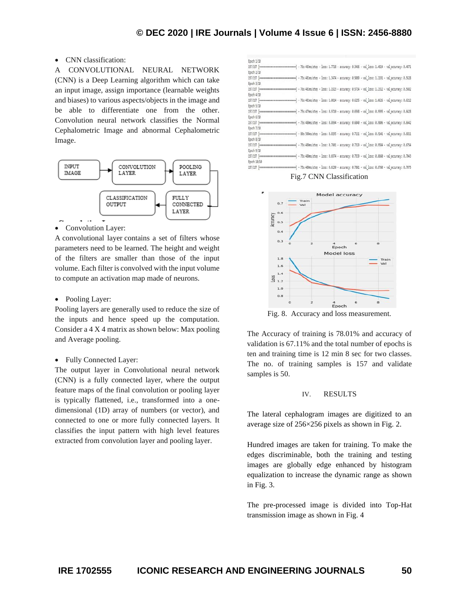## • CNN classification:

A CONVOLUTIONAL NEURAL NETWORK (CNN) is a Deep Learning algorithm which can take an input image, assign importance (learnable weights and biases) to various aspects/objects in the image and be able to differentiate one from the other. Convolution neural network classifies the Normal Cephalometric Image and abnormal Cephalometric Image.



• Convolution Layer:

A convolutional layer contains a set of filters whose parameters need to be learned. The height and weight of the filters are smaller than those of the input volume. Each filter is convolved with the input volume to compute an activation map made of neurons.

• Pooling Layer:

Pooling layers are generally used to reduce the size of the inputs and hence speed up the computation. Consider a 4 X 4 matrix as shown below: Max pooling and Average pooling.

## • Fully Connected Layer:

The output layer in Convolutional neural network (CNN) is a fully connected layer, where the output feature maps of the final convolution or pooling layer is typically flattened, i.e., transformed into a onedimensional (1D) array of numbers (or vector), and connected to one or more fully connected layers. It classifies the input pattern with high level features extracted from convolution layer and pooling layer.



Fig.7 CNN Classification



Fig. 8. Accuracy and loss measurement.

The Accuracy of training is 78.01% and accuracy of validation is 67.11% and the total number of epochs is ten and training time is 12 min 8 sec for two classes. The no. of training samples is 157 and validate samples is 50.

### IV. RESULTS

The lateral cephalogram images are digitized to an average size of 256×256 pixels as shown in Fig. 2.

Hundred images are taken for training. To make the edges discriminable, both the training and testing images are globally edge enhanced by histogram equalization to increase the dynamic range as shown in Fig. 3.

The pre-processed image is divided into Top-Hat transmission image as shown in Fig. 4